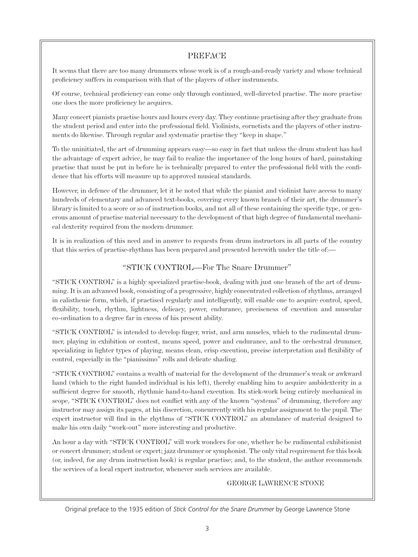## PREFACE

It seems that there are too many drummers whose work is of a rough-and-ready variety and whose technical proficiency suffers in comparison with that of the players of other instruments.

Of course, technical proficiency can come only through continued, well-directed practise. The more practise one does the more proficiency he acquires.

Many concert pianists practise hours and hours every day. They continue practising after they graduate from the student period and enter into the professional field. Violinists, cornetists and the players of other instruments do likewise. Through regular and systematic practise they "keep in shape."

To the uninitiated, the art of drumming appears easy—so easy in fact that unless the drum student has had the advantage of expert advice, he may fail to realize the importance of the long hours of hard, painstaking practise that must be put in before he is technically prepared to enter the professional field with the confidence that his efforts will measure up to approved musical standards.

However, in defence of the drummer, let it be noted that while the pianist and violinist have access to many hundreds of elementary and advanced text-books, covering every known branch of their art, the drummer's library is limited to a score or so of instruction books, and not all of these containing the specific type, or generous amount of practise material necessary to the development of that high degree of fundamental mechanical dexterity required from the modern drummer.

It is in realization of this need and in answer to requests from drum instructors in all parts of the country that this series of practise-rhythms has been prepared and presented herewith under the title of:—

## "STICK CONTROL—For The Snare Drummer"

"STICK CONTROL" is a highly specialized practise-book, dealing with just one branch of the art of drumming. It is an advanced book, consisting of a progressive, highly concentrated collection of rhythms, arranged in calisthenic form, which, if practised regularly and intelligently, will enable one to acquire control, speed, flexibility, touch, rhythm, lightness, delicacy, power, endurance, preciseness of execution and muscular co-ordination to a degree far in excess of his present ability.

"STICK CONTROL" is intended to develop finger, wrist, and arm muscles, which to the rudimental drummer, playing in exhibition or contest, means speed, power and endurance, and to the orchestral drummer, specializing in lighter types of playing, means clean, crisp execution, precise interpretation and flexibility of control, especially in the "pianissimo" rolls and delicate shading.

"STICK CONTROL" contains a wealth of material for the development of the drummer's weak or awkward hand (which to the right handed individual is his left), thereby enabling him to acquire ambidexterity in a sufficient degree for smooth, rhythmic hand-to-hand execution. Its stick-work being entirely mechanical in scope, "STICK CONTROL" does not conflict with any of the known "systems" of drumming, therefore any instructor may assign its pages, at his discretion, concurrently with his regular assignment to the pupil. The expert instructor will find in the rhythms of "STICK CONTROL" an abundance of material designed to make his own daily "work-out" more interesting and productive.

An hour a day with "STICK CONTROL" will work wonders for one, whether he be rudimental exhibitionist or concert drummer; student or expert; jazz drummer or symphonist. The only vital requirement for this book (or, indeed, for any drum instruction book) is regular practise; and, to the student, the author recommends the services of a local expert instructor, whenever such services are available.

## GEORGE LAWRENCE STONE

Original preface to the 1935 edition of *Stick Control for the Snare Drummer* by George Lawrence Stone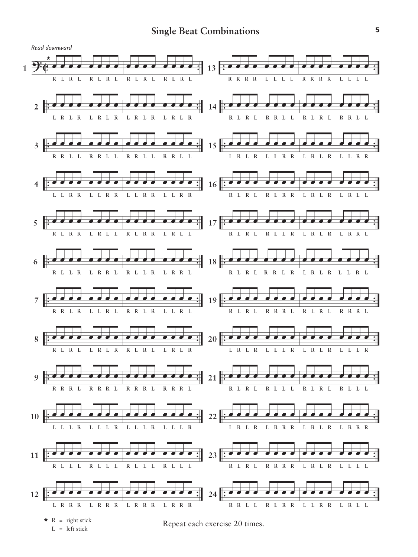

 $R = \frac{R}{R} = 1$  Repeat each exercise 20 times.